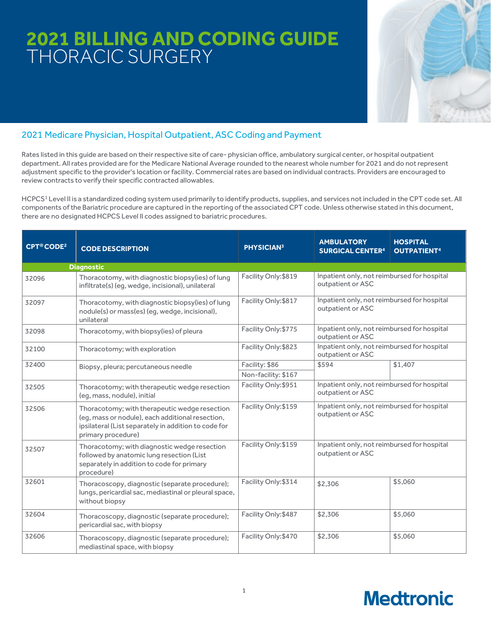# **2021 BILLING AND CODING GUIDE** THORACIC SURGERY



## 2021 Medicare Physician, Hospital Outpatient, ASC Coding and Payment

Rates listed in this guide are based on their respective site of care- physician office, ambulatory surgical center, or hospital outpatient department. All rates provided are for the Medicare National Average rounded to the nearest whole number for 2021 and do not represent adjustment specific to the provider's location or facility. Commercial rates are based on individual contracts. Providers are encouraged to review contracts to verify their specific contracted allowables.

HCPCS1 Level II is a standardized coding system used primarily to identify products, supplies, and services not included in the CPT code set. All components of the Bariatric procedure are captured in the reporting of the associated CPT code. Unless otherwise stated in this document, there are no designated HCPCS Level II codes assigned to bariatric procedures.

| <b>CPT®CODE<sup>2</sup></b> | <b>CODE DESCRIPTION</b>                                                                                                                                                         | <b>PHYSICIAN3</b>    | <b>AMBULATORY</b><br><b>SURGICAL CENTER<sup>4</sup></b>          | <b>HOSPITAL</b><br><b>OUTPATIENT4</b> |
|-----------------------------|---------------------------------------------------------------------------------------------------------------------------------------------------------------------------------|----------------------|------------------------------------------------------------------|---------------------------------------|
|                             | <b>Diagnostic</b>                                                                                                                                                               |                      |                                                                  |                                       |
| 32096                       | Thoracotomy, with diagnostic biopsy(ies) of lung<br>infiltrate(s) (eg, wedge, incisional), unilateral                                                                           | Facility Only: \$819 | Inpatient only, not reimbursed for hospital<br>outpatient or ASC |                                       |
| 32097                       | Thoracotomy, with diagnostic biopsy(ies) of lung<br>nodule(s) or mass(es) (eg, wedge, incisional),<br>unilateral                                                                | Facility Only: \$817 | Inpatient only, not reimbursed for hospital<br>outpatient or ASC |                                       |
| 32098                       | Thoracotomy, with biopsy(ies) of pleura                                                                                                                                         | Facility Only: \$775 | Inpatient only, not reimbursed for hospital<br>outpatient or ASC |                                       |
| 32100                       | Thoracotomy; with exploration                                                                                                                                                   | Facility Only: \$823 | Inpatient only, not reimbursed for hospital<br>outpatient or ASC |                                       |
| 32400                       | Biopsy, pleura; percutaneous needle                                                                                                                                             | Facility: \$86       | \$594                                                            | \$1,407                               |
|                             |                                                                                                                                                                                 | Non-facility: \$167  |                                                                  |                                       |
| 32505                       | Thoracotomy; with therapeutic wedge resection<br>(eq, mass, nodule), initial                                                                                                    | Facility Only: \$951 | Inpatient only, not reimbursed for hospital<br>outpatient or ASC |                                       |
| 32506                       | Thoracotomy; with therapeutic wedge resection<br>(eg, mass or nodule), each additional resection,<br>ipsilateral (List separately in addition to code for<br>primary procedure) | Facility Only: \$159 | Inpatient only, not reimbursed for hospital<br>outpatient or ASC |                                       |
| 32507                       | Thoracotomy; with diagnostic wedge resection<br>followed by anatomic lung resection (List<br>separately in addition to code for primary<br>procedure)                           | Facility Only: \$159 | Inpatient only, not reimbursed for hospital<br>outpatient or ASC |                                       |
| 32601                       | Thoracoscopy, diagnostic (separate procedure);<br>lungs, pericardial sac, mediastinal or pleural space,<br>without biopsy                                                       | Facility Only: \$314 | \$2,306                                                          | \$5,060                               |
| 32604                       | Thoracoscopy, diagnostic (separate procedure);<br>pericardial sac, with biopsy                                                                                                  | Facility Only: \$487 | \$2,306                                                          | \$5,060                               |
| 32606                       | Thoracoscopy, diagnostic (separate procedure);<br>mediastinal space, with biopsy                                                                                                | Facility Only: \$470 | \$2,306                                                          | \$5,060                               |

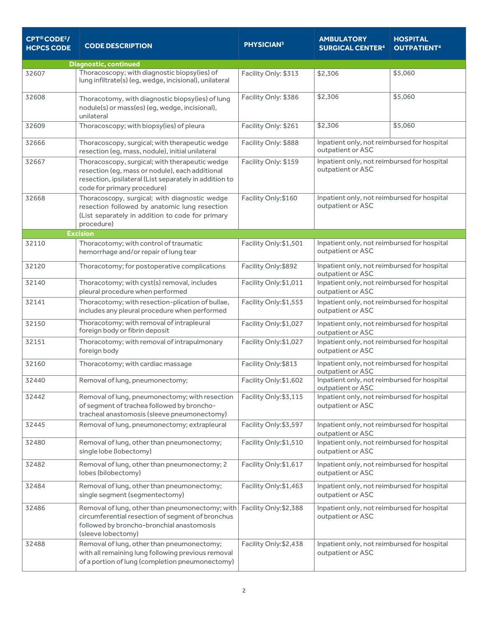| CPT®CODE <sup>2</sup> /<br><b>HCPCS CODE</b> | <b>CODE DESCRIPTION</b>                                                                                                                                                                    | <b>PHYSICIAN3</b>      | <b>AMBULATORY</b><br><b>SURGICAL CENTER<sup>4</sup></b>          | <b>HOSPITAL</b><br><b>OUTPATIENT<sup>4</sup></b> |  |  |
|----------------------------------------------|--------------------------------------------------------------------------------------------------------------------------------------------------------------------------------------------|------------------------|------------------------------------------------------------------|--------------------------------------------------|--|--|
| <b>Diagnostic, continued</b>                 |                                                                                                                                                                                            |                        |                                                                  |                                                  |  |  |
| 32607                                        | Thoracoscopy; with diagnostic biopsy(ies) of<br>lung infiltrate(s) (eg, wedge, incisional), unilateral                                                                                     | Facility Only: \$313   | \$2,306                                                          | \$5,060                                          |  |  |
| 32608                                        | Thoracotomy, with diagnostic biopsy(ies) of lung<br>nodule(s) or mass(es) (eg, wedge, incisional),<br>unilateral                                                                           | Facility Only: \$386   | \$2,306                                                          | \$5,060                                          |  |  |
| 32609                                        | Thoracoscopy; with biopsy(ies) of pleura                                                                                                                                                   | Facility Only: \$261   | \$2,306                                                          | \$5,060                                          |  |  |
| 32666                                        | Thoracoscopy, surgical; with therapeutic wedge<br>resection (eg, mass, nodule), initial unilateral                                                                                         | Facility Only: \$888   | Inpatient only, not reimbursed for hospital<br>outpatient or ASC |                                                  |  |  |
| 32667                                        | Thoracoscopy, surgical; with therapeutic wedge<br>resection (eg, mass or nodule), each additional<br>resection, ipsilateral (List separately in addition to<br>code for primary procedure) | Facility Only: \$159   | Inpatient only, not reimbursed for hospital<br>outpatient or ASC |                                                  |  |  |
| 32668                                        | Thoracoscopy, surgical; with diagnostic wedge<br>resection followed by anatomic lung resection<br>(List separately in addition to code for primary<br>procedure)                           | Facility Only: \$160   | Inpatient only, not reimbursed for hospital<br>outpatient or ASC |                                                  |  |  |
|                                              | <b>Excision</b>                                                                                                                                                                            |                        |                                                                  |                                                  |  |  |
| 32110                                        | Thoracotomy; with control of traumatic<br>hemorrhage and/or repair of lung tear                                                                                                            | Facility Only: \$1,501 | Inpatient only, not reimbursed for hospital<br>outpatient or ASC |                                                  |  |  |
| 32120                                        | Thoracotomy; for postoperative complications                                                                                                                                               | Facility Only: \$892   | Inpatient only, not reimbursed for hospital<br>outpatient or ASC |                                                  |  |  |
| 32140                                        | Thoracotomy; with cyst(s) removal, includes<br>pleural procedure when performed                                                                                                            | Facility Only:\$1,011  | Inpatient only, not reimbursed for hospital<br>outpatient or ASC |                                                  |  |  |
| 32141                                        | Thoracotomy; with resection-plication of bullae,<br>includes any pleural procedure when performed                                                                                          | Facility Only: \$1,553 | Inpatient only, not reimbursed for hospital<br>outpatient or ASC |                                                  |  |  |
| 32150                                        | Thoracotomy; with removal of intrapleural<br>foreign body or fibrin deposit                                                                                                                | Facility Only:\$1,027  | Inpatient only, not reimbursed for hospital<br>outpatient or ASC |                                                  |  |  |
| 32151                                        | Thoracotomy; with removal of intrapulmonary<br>foreign body                                                                                                                                | Facility Only:\$1,027  | Inpatient only, not reimbursed for hospital<br>outpatient or ASC |                                                  |  |  |
| 32160                                        | Thoracotomy; with cardiac massage                                                                                                                                                          | Facility Only: \$813   | Inpatient only, not reimbursed for hospital<br>outpatient or ASC |                                                  |  |  |
| 32440                                        | Removal of lung, pneumonectomy;                                                                                                                                                            | Facility Only: \$1,602 | Inpatient only, not reimbursed for hospital<br>outpatient or ASC |                                                  |  |  |
| 32442                                        | Removal of lung, pneumonectomy; with resection<br>of segment of trachea followed by broncho-<br>tracheal anastomosis (sleeve pneumonectomy)                                                | Facility Only: \$3,115 | Inpatient only, not reimbursed for hospital<br>outpatient or ASC |                                                  |  |  |
| 32445                                        | Removal of lung, pneumonectomy; extrapleural                                                                                                                                               | Facility Only: \$3,597 | Inpatient only, not reimbursed for hospital<br>outpatient or ASC |                                                  |  |  |
| 32480                                        | Removal of lung, other than pneumonectomy;<br>single lobe (lobectomy)                                                                                                                      | Facility Only: \$1,510 | Inpatient only, not reimbursed for hospital<br>outpatient or ASC |                                                  |  |  |
| 32482                                        | Removal of lung, other than pneumonectomy; 2<br>lobes (bilobectomy)                                                                                                                        | Facility Only: \$1,617 | Inpatient only, not reimbursed for hospital<br>outpatient or ASC |                                                  |  |  |
| 32484                                        | Removal of lung, other than pneumonectomy;<br>single segment (segmentectomy)                                                                                                               | Facility Only: \$1,463 | Inpatient only, not reimbursed for hospital<br>outpatient or ASC |                                                  |  |  |
| 32486                                        | Removal of lung, other than pneumonectomy; with<br>circumferential resection of segment of bronchus<br>followed by broncho-bronchial anastomosis<br>(sleeve lobectomy)                     | Facility Only: \$2,388 | Inpatient only, not reimbursed for hospital<br>outpatient or ASC |                                                  |  |  |
| 32488                                        | Removal of lung, other than pneumonectomy;<br>with all remaining lung following previous removal<br>of a portion of lung (completion pneumonectomy)                                        | Facility Only: \$2,438 | Inpatient only, not reimbursed for hospital<br>outpatient or ASC |                                                  |  |  |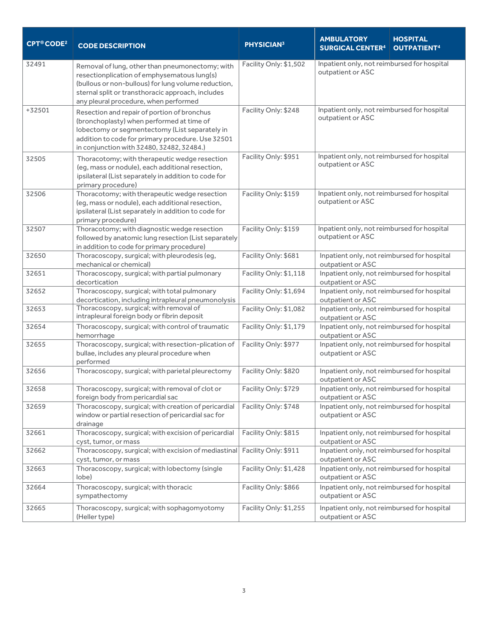| <b>CPT®CODE<sup>2</sup></b> | <b>CODE DESCRIPTION</b>                                                                                                                                                                                                                             | <b>PHYSICIAN3</b>      | <b>AMBULATORY</b><br><b>SURGICAL CENTER4</b>                     | <b>HOSPITAL</b><br><b>OUTPATIENT<sup>4</sup></b> |
|-----------------------------|-----------------------------------------------------------------------------------------------------------------------------------------------------------------------------------------------------------------------------------------------------|------------------------|------------------------------------------------------------------|--------------------------------------------------|
| 32491                       | Removal of lung, other than pneumonectomy; with<br>resectionplication of emphysematous lung(s)<br>(bullous or non-bullous) for lung volume reduction,<br>sternal split or transthoracic approach, includes<br>any pleural procedure, when performed | Facility Only: \$1,502 | Inpatient only, not reimbursed for hospital<br>outpatient or ASC |                                                  |
| $+32501$                    | Resection and repair of portion of bronchus<br>(bronchoplasty) when performed at time of<br>lobectomy or segmentectomy (List separately in<br>addition to code for primary procedure. Use 32501<br>in conjunction with 32480, 32482, 32484.)        | Facility Only: \$248   | Inpatient only, not reimbursed for hospital<br>outpatient or ASC |                                                  |
| 32505                       | Thoracotomy; with therapeutic wedge resection<br>(eg, mass or nodule), each additional resection,<br>ipsilateral (List separately in addition to code for<br>primary procedure)                                                                     | Facility Only: \$951   | Inpatient only, not reimbursed for hospital<br>outpatient or ASC |                                                  |
| 32506                       | Thoracotomy; with therapeutic wedge resection<br>(eg, mass or nodule), each additional resection,<br>ipsilateral (List separately in addition to code for<br>primary procedure)                                                                     | Facility Only: \$159   | Inpatient only, not reimbursed for hospital<br>outpatient or ASC |                                                  |
| 32507                       | Thoracotomy; with diagnostic wedge resection<br>followed by anatomic lung resection (List separately<br>in addition to code for primary procedure)                                                                                                  | Facility Only: \$159   | Inpatient only, not reimbursed for hospital<br>outpatient or ASC |                                                  |
| 32650                       | Thoracoscopy, surgical; with pleurodesis (eg,<br>mechanical or chemical)                                                                                                                                                                            | Facility Only: \$681   | Inpatient only, not reimbursed for hospital<br>outpatient or ASC |                                                  |
| 32651                       | Thoracoscopy, surgical; with partial pulmonary<br>decortication                                                                                                                                                                                     | Facility Only: \$1,118 | Inpatient only, not reimbursed for hospital<br>outpatient or ASC |                                                  |
| 32652                       | Thoracoscopy, surgical; with total pulmonary<br>decortication, including intrapleural pneumonolysis                                                                                                                                                 | Facility Only: \$1,694 | Inpatient only, not reimbursed for hospital<br>outpatient or ASC |                                                  |
| 32653                       | Thoracoscopy, surgical; with removal of<br>intrapleural foreign body or fibrin deposit                                                                                                                                                              | Facility Only: \$1,082 | Inpatient only, not reimbursed for hospital<br>outpatient or ASC |                                                  |
| 32654                       | Thoracoscopy, surgical; with control of traumatic<br>hemorrhage                                                                                                                                                                                     | Facility Only: \$1,179 | Inpatient only, not reimbursed for hospital<br>outpatient or ASC |                                                  |
| 32655                       | Thoracoscopy, surgical; with resection-plication of<br>bullae, includes any pleural procedure when<br>performed                                                                                                                                     | Facility Only: \$977   | Inpatient only, not reimbursed for hospital<br>outpatient or ASC |                                                  |
| 32656                       | Thoracoscopy, surgical; with parietal pleurectomy                                                                                                                                                                                                   | Facility Only: \$820   | Inpatient only, not reimbursed for hospital<br>outpatient or ASC |                                                  |
| 32658                       | Thoracoscopy, surgical; with removal of clot or<br>foreign body from pericardial sac                                                                                                                                                                | Facility Only: \$729   | Inpatient only, not reimbursed for hospital<br>outpatient or ASC |                                                  |
| 32659                       | Thoracoscopy, surgical; with creation of pericardial<br>window or partial resection of pericardial sac for<br>drainage                                                                                                                              | Facility Only: \$748   | Inpatient only, not reimbursed for hospital<br>outpatient or ASC |                                                  |
| 32661                       | Thoracoscopy, surgical; with excision of pericardial<br>cyst, tumor, or mass                                                                                                                                                                        | Facility Only: \$815   | Inpatient only, not reimbursed for hospital<br>outpatient or ASC |                                                  |
| 32662                       | Thoracoscopy, surgical; with excision of mediastinal<br>cyst, tumor, or mass                                                                                                                                                                        | Facility Only: \$911   | Inpatient only, not reimbursed for hospital<br>outpatient or ASC |                                                  |
| 32663                       | Thoracoscopy, surgical; with lobectomy (single<br>lobe)                                                                                                                                                                                             | Facility Only: \$1,428 | Inpatient only, not reimbursed for hospital<br>outpatient or ASC |                                                  |
| 32664                       | Thoracoscopy, surgical; with thoracic<br>sympathectomy                                                                                                                                                                                              | Facility Only: \$866   | Inpatient only, not reimbursed for hospital<br>outpatient or ASC |                                                  |
| 32665                       | Thoracoscopy, surgical; with sophagomyotomy<br>(Heller type)                                                                                                                                                                                        | Facility Only: \$1,255 | Inpatient only, not reimbursed for hospital<br>outpatient or ASC |                                                  |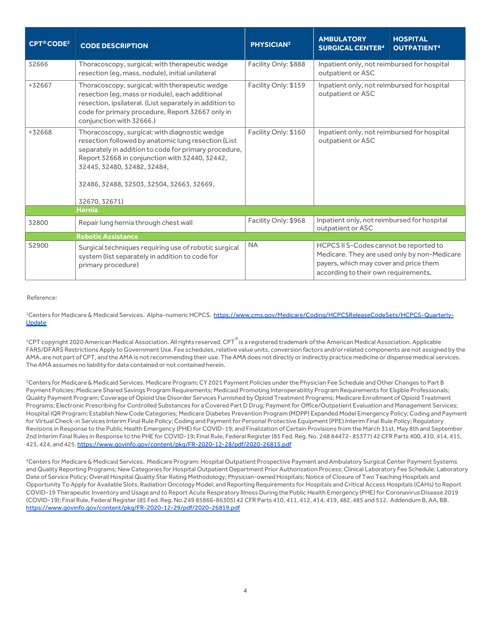| <b>CPT®CODE<sup>2</sup></b> | <b>CODE DESCRIPTION</b>                                                                                                                                                                                                                                                                                     | <b>PHYSICIAN3</b>    | <b>AMBULATORY</b><br><b>SURGICAL CENTER4</b>                                                                             | <b>HOSPITAL</b><br><b>OUTPATIENT4</b>        |  |
|-----------------------------|-------------------------------------------------------------------------------------------------------------------------------------------------------------------------------------------------------------------------------------------------------------------------------------------------------------|----------------------|--------------------------------------------------------------------------------------------------------------------------|----------------------------------------------|--|
| 32666                       | Thoracoscopy, surgical; with therapeutic wedge<br>resection (eg, mass, nodule), initial unilateral                                                                                                                                                                                                          | Facility Only: \$888 | Inpatient only, not reimbursed for hospital<br>outpatient or ASC                                                         |                                              |  |
| +32667                      | Thoracoscopy, surgical; with therapeutic wedge<br>resection (eg, mass or nodule), each additional<br>resection, ipsilateral. (List separately in addition to<br>code for primary procedure, Report 32667 only in<br>conjunction with 32666.)                                                                | Facility Only: \$159 | Inpatient only, not reimbursed for hospital<br>outpatient or ASC                                                         |                                              |  |
| +32668                      | Thoracoscopy, surgical; with diagnostic wedge<br>resection followed by anatomic lung resection (List<br>separately in addition to code for primary procedure,<br>Report 32668 in conjunction with 32440, 32442,<br>32445, 32480, 32482, 32484,<br>32486, 32488, 32503, 32504, 32663, 32669,<br>32670.32671) | Facility Only: \$160 | Inpatient only, not reimbursed for hospital<br>outpatient or ASC                                                         |                                              |  |
|                             | <b>Hernia</b>                                                                                                                                                                                                                                                                                               |                      |                                                                                                                          |                                              |  |
| 32800                       | Repair lung hernia through chest wall                                                                                                                                                                                                                                                                       | Facility Only: \$968 | Inpatient only, not reimbursed for hospital<br>outpatient or ASC                                                         |                                              |  |
|                             | <b>Robotic Assistance</b>                                                                                                                                                                                                                                                                                   |                      |                                                                                                                          |                                              |  |
| S2900                       | Surgical techniques requiring use of robotic surgical<br>system (list separately in addition to code for<br>primary procedure)                                                                                                                                                                              | <b>NA</b>            | HCPCS II S-Codes cannot be reported to<br>payers, which may cover and price them<br>according to their own requirements. | Medicare. They are used only by non-Medicare |  |

#### Reference:

<sup>1</sup>Centers for Medicare & Medicaid Services. Alpha-numeric HCPCS. [https://www.cms.gov/Medicare/Coding/HCPCSReleaseCodeSets/HCPCS-Quarterly-](https://www.cms.gov/Medicare/Coding/HCPCSReleaseCodeSets/HCPCS-Quarterly-Update)[Update](https://www.cms.gov/Medicare/Coding/HCPCSReleaseCodeSets/HCPCS-Quarterly-Update)

<sup>2</sup>CPT copyright 2020 American Medical Association. All rights reserved. CPT $^\circ$  is a registered trademark of the American Medical Association. Applicable FARS/DFARS Restrictions Apply to Government Use. Fee schedules, relative value units, conversion factors and/or related components are not assigned by the AMA, are not part of CPT, and the AMA is not recommending their use. The AMA does not directly or indirectly practice medicine or dispense medical services. The AMA assumes no liability for data contained or not contained herein.

3Centers for Medicare & Medicaid Services. Medicare Program; CY 2021 Payment Policies under the Physician Fee Schedule and Other Changes to Part B Payment Policies; Medicare Shared Savings Program Requirements; Medicaid Promoting Interoperability Program Requirements for Eligible Professionals; Quality Payment Program; Coverage of Opioid Use Disorder Services Furnished by Opioid Treatment Programs; Medicare Enrollment of Opioid Treatment Programs; Electronic Prescribing for Controlled Substances for a Covered Part D Drug; Payment for Office/Outpatient Evaluation and Management Services; Hospital IQR Program; Establish New Code Categories; Medicare Diabetes Prevention Program (MDPP) Expanded Model Emergency Policy; Coding and Payment for Virtual Check-in Services Interim Final Rule Policy; Coding and Payment for Personal Protective Equipment (PPE) Interim Final Rule Policy; Regulatory Revisions in Response to the Public Health Emergency (PHE) for COVID-19; and Finalization of Certain Provisions from the March 31st, May 8th and September 2nd Interim Final Rules in Response to the PHE for COVID-19; Final Rule, Federal Register (85 Fed. Reg. No. 248 84472- 85377) 42 CFR Parts 400, 410, 414, 415, 423, 424, and 425[. https://www.govinfo.gov/content/pkg/FR-2020-12-28/pdf/2020-26815.pdf](https://www.govinfo.gov/content/pkg/FR-2020-12-28/pdf/2020-26815.pdf)

4Centers for Medicare & Medicaid Services. Medicare Program: Hospital Outpatient Prospective Payment and Ambulatory Surgical Center Payment Systems and Quality Reporting Programs; New Categories for Hospital Outpatient Department Prior Authorization Process; Clinical Laboratory Fee Schedule: Laboratory Date of Service Policy; Overall Hospital Quality Star Rating Methodology; Physician-owned Hospitals; Notice of Closure of Two Teaching Hospitals and Opportunity To Apply for Available Slots, Radiation Oncology Model; and Reporting Requirements for Hospitals and Critical Access Hospitals (CAHs) to Report COVID-19 Therapeutic Inventory and Usage and to Report Acute Respiratory Illness During the Public Health Emergency (PHE) for Coronavirus Disease 2019 (COVID-19); Final Rule, Federal Register (85 Fed. Reg. No.249 85866-86305) 42 CFR Parts 410, 411, 412, 414, 419, 482, 485 and 512. Addendum B, AA, BB. <https://www.govinfo.gov/content/pkg/FR-2020-12-29/pdf/2020-26819.pdf>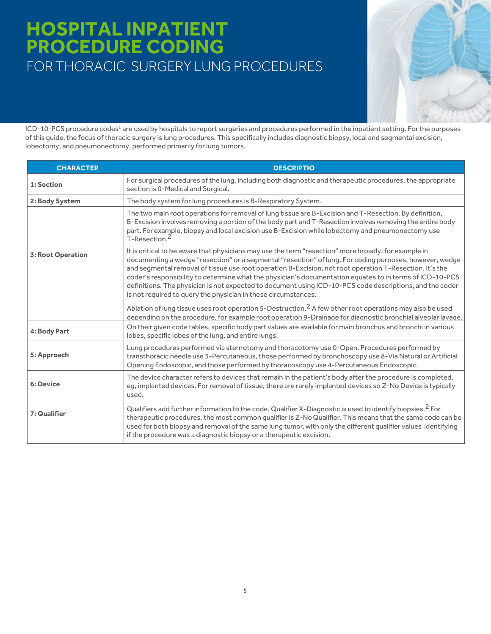## **HOSPITAL INPATIENT PROCEDURE CODING** FOR THORACIC SURGERY LUNG PROCEDURES

ICD-10-PCS procedure codes<sup>1</sup> are used by hospitals to report surgeries and procedures performed in the inpatient setting. For the purposes of this guide, the focus of thoracic surgery is lung procedures. This specifically includes diagnostic biopsy, local and segmental excision, lobectomy, and pneumonectomy, performed primarily for lung tumors.

| <b>CHARACTER</b>         | <b>DESCRIPTIO</b>                                                                                                                                                                                                                                                                                                                                                                                                                                                                                                                                                                                                    |  |  |
|--------------------------|----------------------------------------------------------------------------------------------------------------------------------------------------------------------------------------------------------------------------------------------------------------------------------------------------------------------------------------------------------------------------------------------------------------------------------------------------------------------------------------------------------------------------------------------------------------------------------------------------------------------|--|--|
| 1: Section               | For surgical procedures of the lung, including both diagnostic and therapeutic procedures, the appropriate<br>section is 0-Medical and Surgical.                                                                                                                                                                                                                                                                                                                                                                                                                                                                     |  |  |
| 2: Body System           | The body system for lung procedures is B-Respiratory System.                                                                                                                                                                                                                                                                                                                                                                                                                                                                                                                                                         |  |  |
|                          | The two main root operations for removal of lung tissue are B-Excision and T-Resection. By definition,<br>B-Excision involves removing a portion of the body part and T-Resection involves removing the entire body<br>part. For example, biopsy and local excision use B-Excision while lobectomy and pneumonectomy use<br>T-Resection. <sup>2</sup>                                                                                                                                                                                                                                                                |  |  |
| <b>3: Root Operation</b> | It is critical to be aware that physicians may use the term "resection" more broadly, for example in<br>documenting a wedge "resection" or a segmental "resection" of lung. For coding purposes, however, wedge<br>and segmental removal of tissue use root operation B-Excision, not root operation T-Resection. It's the<br>coder's responsibility to determine what the physician's documentation equates to in terms of ICD-10-PCS<br>definitions. The physician is not expected to document using ICD-10-PCS code descriptions, and the coder<br>is not required to query the physician in these circumstances. |  |  |
|                          | Ablation of lung tissue uses root operation 5-Destruction. <sup>2</sup> A few other root operations may also be used<br>depending on the procedure, for example root operation 9-Drainage for diagnostic bronchial alveolar lavage.                                                                                                                                                                                                                                                                                                                                                                                  |  |  |
| 4: Body Part             | On their given code tables, specific body part values are available for main bronchus and bronchi in various<br>lobes, specific lobes of the lung, and entire lungs.                                                                                                                                                                                                                                                                                                                                                                                                                                                 |  |  |
| 5: Approach              | Lung procedures performed via sternotomy and thoracotomy use 0-Open. Procedures performed by<br>transthoracic needle use 3-Percutaneous, those performed by bronchoscopy use 8-Via Natural or Artificial<br>Opening Endoscopic, and those performed by thoracoscopy use 4-Percutaneous Endoscopic.                                                                                                                                                                                                                                                                                                                   |  |  |
| <b>6: Device</b>         | The device character refers to devices that remain in the patient's body after the procedure is completed,<br>eq, implanted devices. For removal of tissue, there are rarely implanted devices so Z-No Device is typically<br>used.                                                                                                                                                                                                                                                                                                                                                                                  |  |  |
| 7: Qualifier             | Qualifiers add further information to the code. Qualifier X-Diagnostic is used to identify biopsies. <sup>2</sup> For<br>therapeutic procedures, the most common qualifier is Z-No Qualifier. This means that the same code can be<br>used for both biopsy and removal of the same lung tumor, with only the different qualifier values identifying<br>if the procedure was a diagnostic biopsy or a therapeutic excision.                                                                                                                                                                                           |  |  |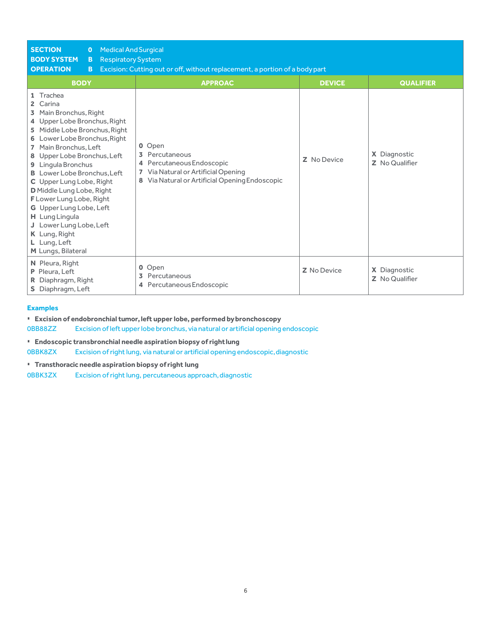| <b>SECTION</b><br><b>Medical And Surgical</b><br>$\mathbf{O}$<br><b>BODY SYSTEM</b><br><b>Respiratory System</b><br>B.<br><b>OPERATION</b><br>B<br><b>BODY</b>                                                                                                                                                                                                                                                                                                                                                                      | Excision: Cutting out or off, without replacement, a portion of a body part<br><b>APPROAC</b>                                               | <b>DEVICE</b>      | <b>QUALIFIER</b>               |
|-------------------------------------------------------------------------------------------------------------------------------------------------------------------------------------------------------------------------------------------------------------------------------------------------------------------------------------------------------------------------------------------------------------------------------------------------------------------------------------------------------------------------------------|---------------------------------------------------------------------------------------------------------------------------------------------|--------------------|--------------------------------|
| 1 Trachea<br>Carina<br>$\mathbf{2}$<br>Main Bronchus, Right<br>3<br>4 Upper Lobe Bronchus, Right<br>Middle Lobe Bronchus, Right<br>5.<br>Lower Lobe Bronchus, Right<br>6<br>Main Bronchus, Left<br>$\overline{ }$<br>8 Upper Lobe Bronchus, Left<br>Lingula Bronchus<br>9<br><b>B</b> Lower Lobe Bronchus. Left<br>C Upper Lung Lobe, Right<br>D Middle Lung Lobe, Right<br>F Lower Lung Lobe, Right<br>G Upper Lung Lobe, Left<br>H Lung Lingula<br>J Lower Lung Lobe, Left<br>K Lung, Right<br>L Lung, Left<br>M Lungs, Bilateral | 0 Open<br>Percutaneous<br>Percutaneous Endoscopic<br>4<br>Via Natural or Artificial Opening<br>Via Natural or Artificial Opening Endoscopic | Z No Device        | X Diagnostic<br>Z No Qualifier |
| N Pleura, Right<br>P Pleura, Left<br>R Diaphragm, Right<br>S Diaphragm, Left                                                                                                                                                                                                                                                                                                                                                                                                                                                        | 0 Open<br>Percutaneous<br>3<br>Percutaneous Endoscopic<br>4                                                                                 | <b>Z</b> No Device | X Diagnostic<br>Z No Qualifier |

#### **Examples**

▪ **Excision of endobronchial tumor, left upper lobe, performed bybronchoscopy**

0BB88ZZ Excision ofleft upperlobe bronchus, via natural or artificial opening endoscopic

▪ **Endoscopic transbronchial needle aspiration biopsy of rightlung**

0BBK8ZX Excision of right lung, via natural or artificial opening endoscopic,diagnostic

▪ **Transthoracic needle aspiration biopsy of right lung**

0BBK3ZX Excision of right lung, percutaneous approach,diagnostic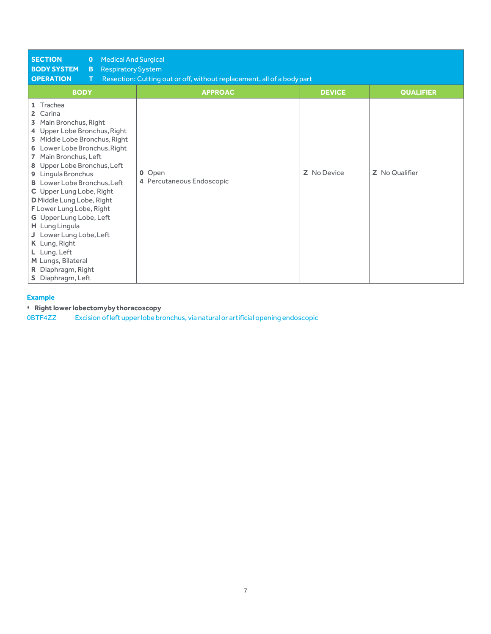| <b>SECTION</b><br><b>Medical And Surgical</b><br>$\bullet$<br><b>BODY SYSTEM</b><br><b>Respiratory System</b><br>B<br><b>OPERATION</b><br>т                                                                                                                                                                                                                                                                                                                                                                                                                    | Resection: Cutting out or off, without replacement, all of a body part |               |                  |
|----------------------------------------------------------------------------------------------------------------------------------------------------------------------------------------------------------------------------------------------------------------------------------------------------------------------------------------------------------------------------------------------------------------------------------------------------------------------------------------------------------------------------------------------------------------|------------------------------------------------------------------------|---------------|------------------|
| <b>BODY</b>                                                                                                                                                                                                                                                                                                                                                                                                                                                                                                                                                    | <b>APPROAC</b>                                                         | <b>DEVICE</b> | <b>QUALIFIER</b> |
| 1 Trachea<br>Carina<br>2<br>Main Bronchus, Right<br>3.<br>4 Upper Lobe Bronchus, Right<br>Middle Lobe Bronchus, Right<br>5.<br>6 Lower Lobe Bronchus, Right<br>Main Bronchus, Left<br>$\overline{7}$<br>8 Upper Lobe Bronchus, Left<br>9 Lingula Bronchus<br><b>B</b> Lower Lobe Bronchus, Left<br>C Upper Lung Lobe, Right<br>D Middle Lung Lobe, Right<br>F Lower Lung Lobe, Right<br>G Upper Lung Lobe, Left<br>H Lung Lingula<br>J Lower Lung Lobe, Left<br>K Lung, Right<br>L Lung, Left<br>M Lungs, Bilateral<br>R Diaphragm, Right<br>S Diaphragm, Left | 0 Open<br>4 Percutaneous Endoscopic                                    | Z No Device   | Z No Qualifier   |

#### **Example**

▪ **Right lower lobectomyby thoracoscopy**

0BTF4ZZ Excision ofleft upperlobe bronchus, via natural or artificial opening endoscopic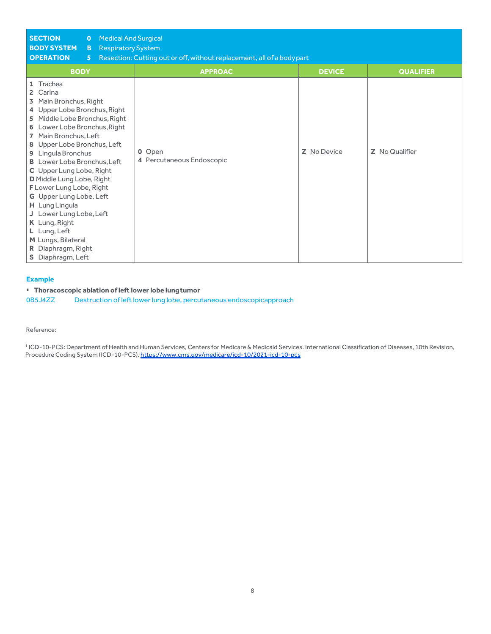| <b>SECTION</b><br><b>Medical And Surgical</b><br>$\bullet$<br><b>BODY SYSTEM</b><br><b>Respiratory System</b><br>B.<br><b>OPERATION</b><br>5 <sup>1</sup>                                                                                                                                                                                                                                                                                                                                                                           | Resection: Cutting out or off, without replacement, all of a body part |               |                  |
|-------------------------------------------------------------------------------------------------------------------------------------------------------------------------------------------------------------------------------------------------------------------------------------------------------------------------------------------------------------------------------------------------------------------------------------------------------------------------------------------------------------------------------------|------------------------------------------------------------------------|---------------|------------------|
| <b>BODY</b>                                                                                                                                                                                                                                                                                                                                                                                                                                                                                                                         | <b>APPROAC</b>                                                         | <b>DEVICE</b> | <b>QUALIFIER</b> |
| 1 Trachea<br>2 Carina<br>3 Main Bronchus, Right<br>4 Upper Lobe Bronchus, Right<br>5 Middle Lobe Bronchus, Right<br>6 Lower Lobe Bronchus, Right<br>7 Main Bronchus, Left<br>8 Upper Lobe Bronchus, Left<br>9 Lingula Bronchus<br><b>B</b> Lower Lobe Bronchus, Left<br>C Upper Lung Lobe, Right<br>D Middle Lung Lobe, Right<br>F Lower Lung Lobe, Right<br>G Upper Lung Lobe, Left<br>H Lung Lingula<br>J Lower Lung Lobe, Left<br>K Lung, Right<br>L Lung, Left<br>M Lungs, Bilateral<br>R Diaphragm, Right<br>S Diaphragm, Left | 0 Open<br>4 Percutaneous Endoscopic                                    | Z No Device   | Z No Qualifier   |

#### **Example**

▪ **Thoracoscopic ablation of left lower lobe lungtumor**

0B5J4ZZ Destruction of left lower lung lobe, percutaneous endoscopicapproach

Reference:

<sup>1</sup> ICD-10-PCS: Department of Health and Human Services, Centers for Medicare & Medicaid Services. International Classification of Diseases, 10th Revision, Procedure Coding System (ICD-10-PCS)[. https://www.cms.gov/medicare/icd-10/2021-icd-10-pcs](https://www.cms.gov/medicare/icd-10/2021-icd-10-pcs)